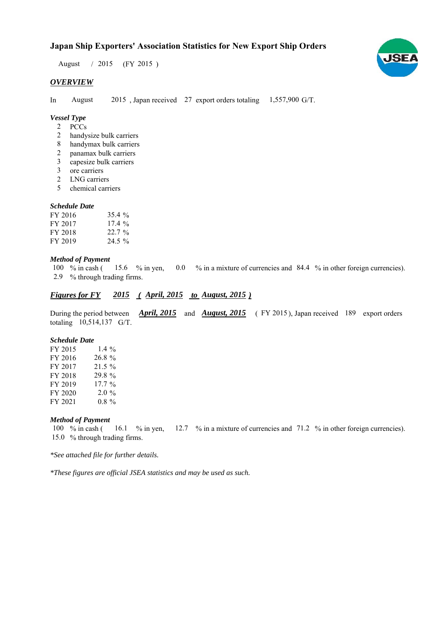# **Japan Ship Exporters' Association Statistics for New Export Ship Orders**

August / 2015 (FY 2015)

## *OVERVIEW*

In August 2015, Japan received 27 export orders totaling 1,557,900 G/T.

# *Vessel Type*

- PCCs 2
- handysize bulk carriers 2
- handymax bulk carriers 8
- panamax bulk carriers 2
- capesize bulk carriers 3
- ore carriers 3
- LNG carriers 2
- chemical carriers 5

## *Schedule Date*

| FY 2016 | $35.4 \%$ |
|---------|-----------|
| FY 2017 | 17.4%     |
| FY 2018 | $22.7\%$  |
| FY 2019 | $24.5\%$  |

#### *Method of Payment*

% in cash ( $\frac{15.6}{8}$  % in yen, 0.0 % in a mixture of currencies and 84.4 % in other foreign currencies). % through trading firms. 2.9 100  $\%$  in cash (15.6  $\%$  in yen,

## *Figures for FY* 2015 (*April, 2015 to August, 2015*)

During the period between *April, 2015* and *August, 2015* (FY 2015), Japan received 189 export orders totaling 10,514,137 G/T.

#### *Schedule Date*

| FY 2015 | 1.4 $\%$ |
|---------|----------|
| FY 2016 | 26.8 %   |
| FY 2017 | $21.5\%$ |
| FY 2018 | 29.8 %   |
| FY 2019 | $17.7\%$ |
| FY 2020 | $2.0\%$  |
| FY 2021 | $0.8 \%$ |

## *Method of Payment*

% in cash ( $\frac{16.1}{8}$  m yen,  $\frac{12.7}{8}$  m a mixture of currencies and 71.2 % in other foreign currencies). 15.0 % through trading firms. 100  $%$  in cash (

*\*See attached file for further details.*

*\*These figures are official JSEA statistics and may be used as such.*

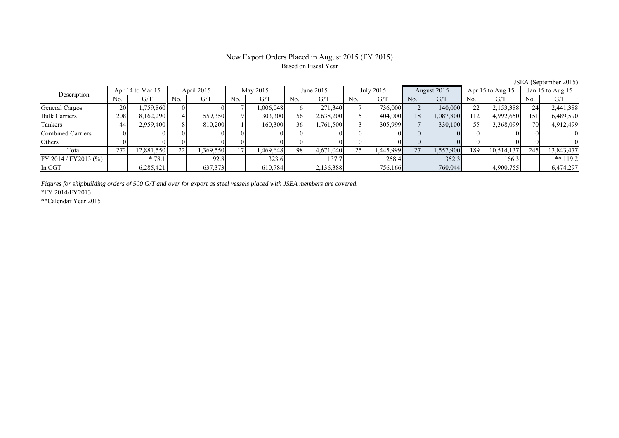## New Export Orders Placed in August 2015 (FY 2015) Based on Fiscal Year

No. G/T No. G/T No. G/T No. G/T No. G/T No. G/T No. G/T No. G/T General Cargos ( 20 1,759,860 0 0 0 7 1,006,048 6 271,340 7 736,000 2 140,000 2 2,153,388 24 2,441,388 Bulk Carriers 1 208 8,162,290 14 559,350 9 303,300 56 2,638,200 15 404,000 18 1,087,800 112 4,992,650 151 6,489,590 Tankers | 44| 2,959,400|| 8| 810,200| 1| 160,300| 36| 1,761,500| 3| 305,999| 7| 330,100| 55| 3,368,099|| 70| 4,912,499 Combined Carriers 0 0 0 0 0 0 0 0 0 0 0 0 0 0 0 0 Others | 0 | 0 || 0 || 0 || 0 || 0 || 0 || 0 || 0 || 0 || 0 | Total 272 12,881,550 22 1,369,550 17 1,469,648 98 4,671,040 25 1,445,999 27 1,557,900 189 10,514,137 245 13,843,477 FY 2014 / FY2013 (%) \* 78.1 92.8 323.6 137.7 258.4 352.3 166.3 \*\* 119.2 In CGT | | 6,285,421|| | 637,373| | 610,784| | 2,136,388| | 756,166| | 760,044| | 4,900,755|| | 6,474,297 June 2015Description Apr 14 to Mar 15 April 2015 May 2015 June 2015<br>No. 6/T No. 6/T No. 6/T No. 6/T No. 6/T July 2015 August 2015 Apr 15 to Aug 15  $\parallel$  Jan 15 to Aug 15

*Figures for shipbuilding orders of 500 G/T and over for export as steel vessels placed with JSEA members are covered.*

\*FY 2014/FY2013

\*\*Calendar Year 2015

JSEA (September 2015)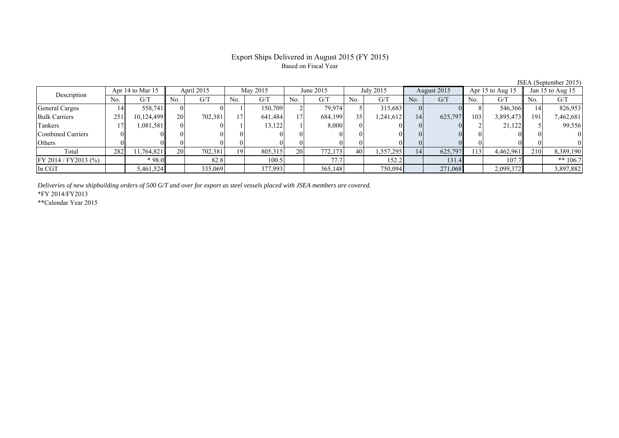# Export Ships Delivered in August 2015 (FY 2015) Based on Fiscal Year

|     |     |                  |                                                                           |            |                 |          |                                                             |                        |                  |                              |                                                       |                        |                           |                          | Jan 15 to Aug 15 |
|-----|-----|------------------|---------------------------------------------------------------------------|------------|-----------------|----------|-------------------------------------------------------------|------------------------|------------------|------------------------------|-------------------------------------------------------|------------------------|---------------------------|--------------------------|------------------|
| No. | G/T | No.              | G/T                                                                       | No.        | G/T             | No.      | G/T                                                         | No.                    | G/T              | No.                          | G/T                                                   | No.                    | G/T                       | No.                      | G/T              |
| 14  |     |                  |                                                                           |            |                 |          | 79,974                                                      |                        |                  |                              |                                                       |                        |                           |                          | 826,953          |
| 251 |     | 20               | 702,381                                                                   |            |                 |          |                                                             |                        |                  | 14                           |                                                       |                        | 3,895,473                 | 191                      | 7,462,681        |
|     |     |                  |                                                                           |            |                 |          |                                                             |                        |                  |                              |                                                       |                        | 21,122                    |                          | 99,556           |
|     |     |                  |                                                                           |            |                 |          |                                                             |                        |                  |                              |                                                       |                        |                           |                          |                  |
|     |     |                  |                                                                           |            |                 |          |                                                             |                        |                  |                              |                                                       |                        |                           |                          |                  |
| 282 |     | 20               | 702,381                                                                   | 19         |                 |          | 772.173                                                     | 40                     |                  | 14                           |                                                       |                        | 4,462,961                 | 210                      | 8,389,190        |
|     |     |                  |                                                                           |            |                 |          | 77.7                                                        |                        |                  |                              | 131.4                                                 |                        | 107.7                     |                          | ** $106.7$       |
|     |     |                  |                                                                           |            |                 |          | 365,148                                                     |                        |                  |                              |                                                       |                        | 2,099,372                 |                          | 3,897,882        |
|     |     | Apr 14 to Mar 15 | 558,741<br>10,124,499<br>1.081.5811<br>11,764,821<br>$*98.0$<br>5,461,524 | April 2015 | 82.8<br>335,069 | May 2015 | 150.709<br>641,484<br>13,122<br>805,315<br>100.5<br>377,993 | June 2015<br><b>20</b> | 684,199<br>8,000 | July 2015<br>35 <sup>1</sup> | 315,683<br>1,241,612<br>1,557,295<br>152.2<br>750,094 | August 2015<br>271,068 | 103<br>625,797<br>625,797 | Apr 15 to Aug 15<br>1131 | 546,366          |

*Deliveries of new shipbuilding orders of 500 G/T and over for export as steel vessels placed with JSEA members are covered.*

\*FY 2014/FY2013

\*\*Calendar Year 2015

JSEA (September 2015)